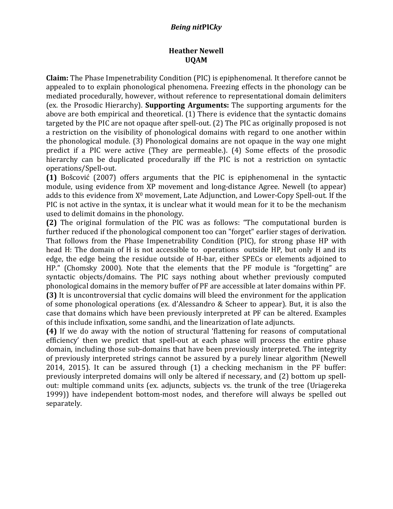## *Being nit***PIC***ky*

## **Heather Newell UQAM**

**Claim:** The Phase Impenetrability Condition (PIC) is epiphenomenal. It therefore cannot be appealed to to explain phonological phenomena. Freezing effects in the phonology can be mediated procedurally, however, without reference to representational domain delimiters (ex. the Prosodic Hierarchy). **Supporting Arguments:** The supporting arguments for the above are both empirical and theoretical. (1) There is evidence that the syntactic domains targeted by the PIC are not opaque after spell-out. (2) The PIC as originally proposed is not a restriction on the visibility of phonological domains with regard to one another within the phonological module. (3) Phonological domains are not opaque in the way one might predict if a PIC were active (They are permeable.). (4) Some effects of the prosodic hierarchy can be duplicated procedurally iff the PIC is not a restriction on syntactic operations/Spell-out.

**(1)** Bošcović (2007) offers arguments that the PIC is epiphenomenal in the syntactic module, using evidence from XP movement and long-distance Agree. Newell (to appear) adds to this evidence from  $X^0$  movement, Late Adjunction, and Lower-Copy Spell-out. If the PIC is not active in the syntax, it is unclear what it would mean for it to be the mechanism used to delimit domains in the phonology.

**(2)** The original formulation of the PIC was as follows: "The computational burden is further reduced if the phonological component too can "forget" earlier stages of derivation. That follows from the Phase Impenetrability Condition (PIC), for strong phase HP with head H: The domain of H is not accessible to operations outside HP, but only H and its edge, the edge being the residue outside of H-bar, either SPECs or elements adjoined to HP." (Chomsky 2000). Note that the elements that the PF module is "forgetting" are syntactic objects/domains. The PIC says nothing about whether previously computed phonological domains in the memory buffer of PF are accessible at later domains within PF. **(3)** It is uncontroversial that cyclic domains will bleed the environment for the application of some phonological operations (ex. d'Alessandro & Scheer to appear). But, it is also the case that domains which have been previously interpreted at PF can be altered. Examples of this include infixation, some sandhi, and the linearization of late adjuncts.

**(4)** If we do away with the notion of structural 'flattening for reasons of computational efficiency' then we predict that spell-out at each phase will process the entire phase domain, including those sub-domains that have been previously interpreted. The integrity of previously interpreted strings cannot be assured by a purely linear algorithm (Newell 2014, 2015). It can be assured through  $(1)$  a checking mechanism in the PF buffer: previously interpreted domains will only be altered if necessary, and (2) bottom up spellout: multiple command units (ex. adjuncts, subjects vs. the trunk of the tree (Uriagereka 1999)) have independent bottom-most nodes, and therefore will always be spelled out separately.